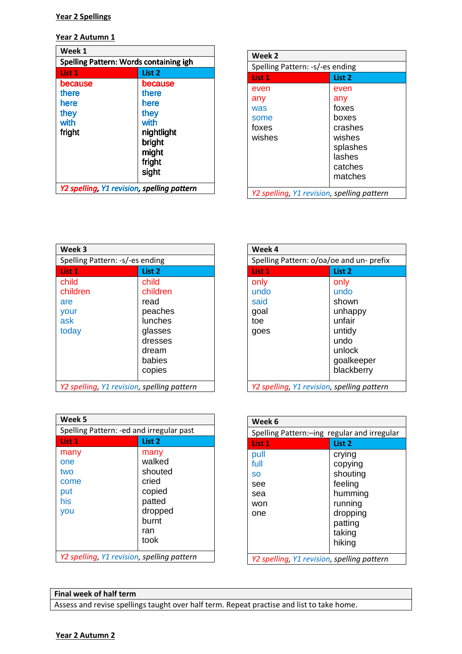#### **Year 2 Spellings**

**Year 2 Autumn 1** 

| Week 1                                     |            |
|--------------------------------------------|------------|
| Spelling Pattern: Words containing igh     |            |
| List 1                                     | List 2     |
| because                                    | because    |
| there                                      | there      |
| here                                       | here       |
| they                                       | they       |
| with                                       | with       |
| fright                                     | nightlight |
|                                            | bright     |
|                                            | might      |
|                                            | fright     |
|                                            | sight      |
| Y2 spelling, Y1 revision, spelling pattern |            |

| Week 2                                     |          |
|--------------------------------------------|----------|
| Spelling Pattern: -s/-es ending            |          |
| List 1                                     | List 2   |
| even                                       | even     |
| any                                        | any      |
| was                                        | foxes    |
| some                                       | boxes    |
| foxes                                      | crashes  |
| wishes                                     | wishes   |
|                                            | splashes |
|                                            | lashes   |
|                                            | catches  |
|                                            | matches  |
| Y2 spelling, Y1 revision, spelling pattern |          |

| Week 3                                           |                                                                                                    |
|--------------------------------------------------|----------------------------------------------------------------------------------------------------|
| Spelling Pattern: -s/-es ending                  |                                                                                                    |
| List 1                                           | List <sub>2</sub>                                                                                  |
| child<br>children<br>are<br>your<br>ask<br>today | child<br>children<br>read<br>peaches<br>lunches<br>glasses<br>dresses<br>dream<br>babies<br>copies |
| Y2 spelling, Y1 revision, spelling pattern       |                                                                                                    |

| Week 4                                      |                                                                                                    |
|---------------------------------------------|----------------------------------------------------------------------------------------------------|
| Spelling Pattern: o/oa/oe and un- prefix    |                                                                                                    |
| List 1                                      | List 2                                                                                             |
| only<br>undo<br>said<br>goal<br>toe<br>goes | only<br>undo<br>shown<br>unhappy<br>unfair<br>untidy<br>undo<br>unlock<br>goalkeeper<br>blackberry |
| Y2 spelling, Y1 revision, spelling pattern  |                                                                                                    |

| Week 5                                     |                                                        |
|--------------------------------------------|--------------------------------------------------------|
| Spelling Pattern: -ed and irregular past   |                                                        |
| List 1                                     | List 2                                                 |
| many<br>one<br>two<br>come<br>put<br>his   | many<br>walked<br>shouted<br>cried<br>copied<br>patted |
| you                                        | dropped<br>burnt<br>ran<br>took                        |
| Y2 spelling, Y1 revision, spelling pattern |                                                        |

| Week 6                                      |          |
|---------------------------------------------|----------|
| Spelling Pattern:-ing regular and irregular |          |
| List 1                                      | List 2   |
| pull                                        | crying   |
| full                                        | copying  |
| <b>SO</b>                                   | shouting |
| see                                         | feeling  |
| sea                                         | humming  |
| won                                         | running  |
| one                                         | dropping |
|                                             | patting  |
|                                             | taking   |
|                                             | hiking   |
| Y2 spelling, Y1 revision, spelling pattern  |          |

## **Final week of half term**

Assess and revise spellings taught over half term. Repeat practise and list to take home.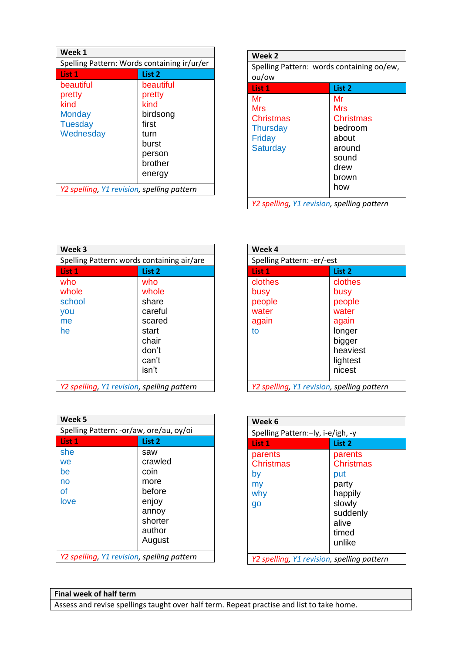| Week 1                                                                      |                                                                             |
|-----------------------------------------------------------------------------|-----------------------------------------------------------------------------|
| Spelling Pattern: Words containing ir/ur/er                                 |                                                                             |
| List 1                                                                      | List 2                                                                      |
| beautiful<br>pretty<br>kind<br><b>Monday</b><br><b>Tuesday</b><br>Wednesday | beautiful<br>pretty<br>kind<br>birdsong<br>first<br>turn<br>burst<br>person |
|                                                                             | brother<br>energy                                                           |
| Y2 spelling, Y1 revision, spelling pattern                                  |                                                                             |

| Week 2                                     |                                           |  |
|--------------------------------------------|-------------------------------------------|--|
|                                            | Spelling Pattern: words containing oo/ew, |  |
| ou/ow                                      |                                           |  |
| List 1                                     | List <sub>2</sub>                         |  |
| Mr                                         | Mr                                        |  |
| Mrs                                        | Mrs                                       |  |
| <b>Christmas</b>                           | <b>Christmas</b>                          |  |
| <b>Thursday</b>                            | bedroom                                   |  |
| Friday                                     | about                                     |  |
| <b>Saturday</b>                            | around                                    |  |
|                                            | sound                                     |  |
|                                            | drew                                      |  |
|                                            | brown                                     |  |
|                                            | how                                       |  |
|                                            |                                           |  |
| Y2 spelling, Y1 revision, spelling pattern |                                           |  |

| Week 3                                     |                                                                                         |
|--------------------------------------------|-----------------------------------------------------------------------------------------|
| Spelling Pattern: words containing air/are |                                                                                         |
| List 1                                     | List 2                                                                                  |
| who<br>whole<br>school<br>you<br>me<br>he  | who<br>whole<br>share<br>careful<br>scared<br>start<br>chair<br>don't<br>can't<br>isn't |
| Y2 spelling, Y1 revision, spelling pattern |                                                                                         |

| Week 4                                            |                                                                             |
|---------------------------------------------------|-----------------------------------------------------------------------------|
| Spelling Pattern: -er/-est                        |                                                                             |
| List 1                                            | List 2                                                                      |
| clothes<br>busy<br>people<br>water<br>again<br>to | clothes<br>busy<br>people<br>water<br>again<br>longer<br>bigger<br>heaviest |
|                                                   | lightest<br>nicest                                                          |
| Y2 spelling, Y1 revision, spelling pattern        |                                                                             |

| Week <sub>5</sub>                          |                   |
|--------------------------------------------|-------------------|
| Spelling Pattern: -or/aw, ore/au, oy/oi    |                   |
| List 1                                     | List <sub>2</sub> |
| she                                        | saw               |
| we                                         | crawled           |
| be                                         | coin              |
| no                                         | more              |
| оf                                         | before            |
| love                                       | enjoy             |
|                                            | annoy             |
|                                            | shorter           |
|                                            | author            |
|                                            | August            |
| Y2 spelling, Y1 revision, spelling pattern |                   |

| Week 6                                        |                                                                                                          |
|-----------------------------------------------|----------------------------------------------------------------------------------------------------------|
| Spelling Pattern:-ly, i-e/igh, -y             |                                                                                                          |
| List 1                                        | List <sub>2</sub>                                                                                        |
| parents<br>Christmas<br>by<br>my<br>why<br>go | parents<br><b>Christmas</b><br>put<br>party<br>happily<br>slowly<br>suddenly<br>alive<br>timed<br>unlike |
| Y2 spelling, Y1 revision, spelling pattern    |                                                                                                          |

# **Final week of half term**

Assess and revise spellings taught over half term. Repeat practise and list to take home.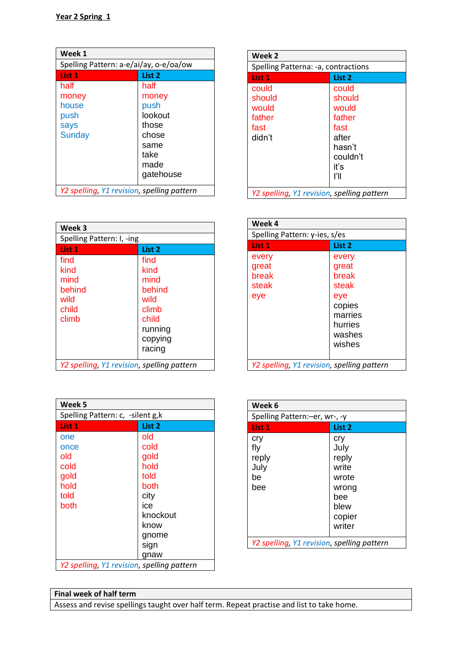| Week 1                                     |                                        |  |  |
|--------------------------------------------|----------------------------------------|--|--|
|                                            | Spelling Pattern: a-e/ai/ay, o-e/oa/ow |  |  |
| List 1                                     | List 2                                 |  |  |
| half                                       | half                                   |  |  |
| money                                      | money                                  |  |  |
| house                                      | push                                   |  |  |
| push                                       | lookout                                |  |  |
| says                                       | those                                  |  |  |
| <b>Sunday</b>                              | chose                                  |  |  |
|                                            | same                                   |  |  |
|                                            | take                                   |  |  |
|                                            | made                                   |  |  |
|                                            | gatehouse                              |  |  |
| Y2 spelling, Y1 revision, spelling pattern |                                        |  |  |

| Week 3                                                   |                                                                                          |
|----------------------------------------------------------|------------------------------------------------------------------------------------------|
| Spelling Pattern: I, -ing                                |                                                                                          |
| List 1                                                   | List <sub>2</sub>                                                                        |
| find<br>kind<br>mind<br>behind<br>wild<br>child<br>climb | find<br>kind<br>mind<br>behind<br>wild<br>climb<br>child<br>running<br>copying<br>racing |
| Y2 spelling, Y1 revision, spelling pattern               |                                                                                          |

| Week 2                                     |          |
|--------------------------------------------|----------|
| Spelling Patterna: -a, contractions        |          |
| List 1                                     | List 2   |
| could                                      | could    |
| should                                     | should   |
| would                                      | would    |
| father                                     | father   |
| fast                                       | fast     |
| didn't                                     | after    |
|                                            | hasn't   |
|                                            | couldn't |
|                                            | iť's     |
|                                            | ľШ       |
| Y2 spelling, Y1 revision, spelling pattern |          |

| Week 4                                     |         |
|--------------------------------------------|---------|
| Spelling Pattern: y-ies, s/es              |         |
| List 1                                     | List 2  |
| every                                      | every   |
| great                                      | great   |
| break                                      | break   |
| steak                                      | steak   |
| eye                                        | eye     |
|                                            | copies  |
|                                            | marries |
|                                            | hurries |
|                                            | washes  |
|                                            | wishes  |
|                                            |         |
| Y2 spelling, Y1 revision, spelling pattern |         |

| Week 5                                     |                   |
|--------------------------------------------|-------------------|
| Spelling Pattern: c, -silent g,k           |                   |
| List 1                                     | List <sub>2</sub> |
| one                                        | old               |
| once                                       | cold              |
| old                                        | gold              |
| cold                                       | hold              |
| gold                                       | told              |
| hold                                       | both              |
| told                                       | city              |
| both                                       | ice               |
|                                            | knockout          |
|                                            | know              |
|                                            | gnome             |
|                                            | sign              |
|                                            | gnaw              |
| Y2 spelling, Y1 revision, spelling pattern |                   |

| Week 6                                     |        |
|--------------------------------------------|--------|
| Spelling Pattern:-er, wr-, -y              |        |
| List 1                                     | List 2 |
| cry                                        | cry    |
| fly                                        | July   |
| reply                                      | reply  |
| July                                       | write  |
| be                                         | wrote  |
| bee                                        | wrong  |
|                                            | bee    |
|                                            | blew   |
|                                            | copier |
|                                            | writer |
| Y2 spelling, Y1 revision, spelling pattern |        |

**Final week of half term** Assess and revise spellings taught over half term. Repeat practise and list to take home.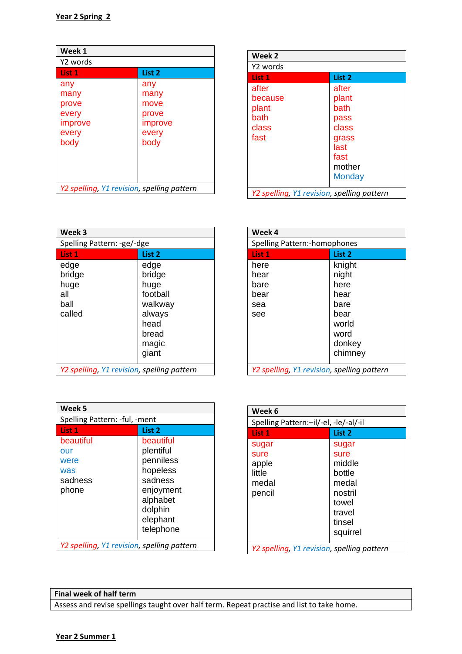| Week 1                                                    |                                                          |
|-----------------------------------------------------------|----------------------------------------------------------|
| Y2 words                                                  |                                                          |
| List 1                                                    | List 2                                                   |
| any<br>many<br>prove<br>every<br>improve<br>every<br>body | any<br>many<br>move<br>prove<br>improve<br>every<br>body |
| Y2 spelling, Y1 revision, spelling pattern                |                                                          |

| Week 2   |                                            |
|----------|--------------------------------------------|
| Y2 words |                                            |
| List 1   | List <sub>2</sub>                          |
| after    | after                                      |
| because  | plant                                      |
| plant    | bath                                       |
| bath     | pass                                       |
| class    | class                                      |
| fast     | grass                                      |
|          | last                                       |
|          | fast                                       |
|          | mother                                     |
|          | <b>Monday</b>                              |
|          | Y2 spelling, Y1 revision, spelling pattern |

| Week 3                                     |                   |
|--------------------------------------------|-------------------|
| Spelling Pattern: -ge/-dge                 |                   |
| List 1                                     | List <sub>2</sub> |
| edge                                       | edge              |
| bridge                                     | bridge            |
| huge                                       | huge              |
| all                                        | football          |
| ball                                       | walkway           |
| called                                     | always            |
|                                            | head              |
|                                            | bread             |
|                                            | magic             |
|                                            | giant             |
| Y2 spelling, Y1 revision, spelling pattern |                   |

| Week 4                                     |                   |
|--------------------------------------------|-------------------|
| Spelling Pattern:-homophones               |                   |
| List 1                                     | List <sub>2</sub> |
| here                                       | knight            |
| hear                                       | night             |
| bare                                       | here              |
| bear                                       | hear              |
| sea                                        | bare              |
| see                                        | bear              |
|                                            | world             |
|                                            | word              |
|                                            | donkey            |
|                                            | chimney           |
| Y2 spelling, Y1 revision, spelling pattern |                   |

| Week <sub>5</sub>                                   |                                                                                                                         |
|-----------------------------------------------------|-------------------------------------------------------------------------------------------------------------------------|
| Spelling Pattern: -ful, -ment                       |                                                                                                                         |
| List 1                                              | List 2                                                                                                                  |
| beautiful<br>our<br>were<br>was<br>sadness<br>phone | beautiful<br>plentiful<br>penniless<br>hopeless<br>sadness<br>enjoyment<br>alphabet<br>dolphin<br>elephant<br>telephone |
| Y2 spelling, Y1 revision, spelling pattern          |                                                                                                                         |

| Week 6                                              |                                                                                                |
|-----------------------------------------------------|------------------------------------------------------------------------------------------------|
| Spelling Pattern:-il/-el, -le/-al/-il               |                                                                                                |
| List 1                                              | List 2                                                                                         |
| sugar<br>sure<br>apple<br>little<br>medal<br>pencil | sugar<br>sure<br>middle<br>bottle<br>medal<br>nostril<br>towel<br>travel<br>tinsel<br>squirrel |
| Y2 spelling, Y1 revision, spelling pattern          |                                                                                                |

### **Final week of half term** Assess and revise spellings taught over half term. Repeat practise and list to take home.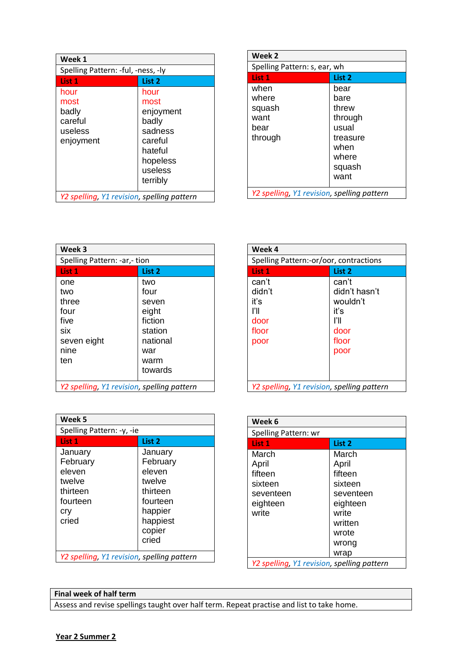| Week 1                                                   |                                                                                                        |
|----------------------------------------------------------|--------------------------------------------------------------------------------------------------------|
| Spelling Pattern: -ful, -ness, -ly                       |                                                                                                        |
| List 1                                                   | List 2                                                                                                 |
| hour<br>most<br>badly<br>careful<br>useless<br>enjoyment | hour<br>most<br>enjoyment<br>badly<br>sadness<br>careful<br>hateful<br>hopeless<br>useless<br>terribly |
| Y2 spelling, Y1 revision, spelling pattern               |                                                                                                        |

| Week 2                                     |          |
|--------------------------------------------|----------|
| Spelling Pattern: s, ear, wh               |          |
| List 1                                     | List 2   |
| when                                       | bear     |
| where                                      | bare     |
| squash                                     | threw    |
| want                                       | through  |
| bear                                       | usual    |
| through                                    | treasure |
|                                            | when     |
|                                            | where    |
|                                            | squash   |
|                                            | want     |
| Y2 spelling, Y1 revision, spelling pattern |          |

| Week 3                                     |          |
|--------------------------------------------|----------|
| Spelling Pattern: -ar,- tion               |          |
| List 1                                     | List 2   |
| one                                        | two      |
| two                                        | four     |
| three                                      | seven    |
| four                                       | eight    |
| five                                       | fiction  |
| six                                        | station  |
| seven eight                                | national |
| nine                                       | war      |
| ten                                        | warm     |
|                                            | towards  |
| Y2 spelling, Y1 revision, spelling pattern |          |

| Week 4                                                  |                                                                           |
|---------------------------------------------------------|---------------------------------------------------------------------------|
| Spelling Pattern:-or/oor, contractions                  |                                                                           |
| List 1                                                  | List 2                                                                    |
| can't<br>didn't<br>iť's<br>ľII<br>door<br>floor<br>poor | can't<br>didn't hasn't<br>wouldn't<br>iť's<br>ľI<br>door<br>floor<br>poor |
| Y2 spelling, Y1 revision, spelling pattern              |                                                                           |

| Week <sub>5</sub>                          |          |
|--------------------------------------------|----------|
| Spelling Pattern: -y, -ie                  |          |
| List 1                                     | List 2   |
| January                                    | January  |
| February                                   | February |
| eleven                                     | eleven   |
| twelve                                     | twelve   |
| thirteen                                   | thirteen |
| fourteen                                   | fourteen |
| cry                                        | happier  |
| cried                                      | happiest |
|                                            | copier   |
|                                            | cried    |
| Y2 spelling, Y1 revision, spelling pattern |          |

| Week 6                                     |                   |
|--------------------------------------------|-------------------|
| Spelling Pattern: wr                       |                   |
| List 1                                     | List <sub>2</sub> |
| March                                      | March             |
| April                                      | April             |
| fifteen                                    | fifteen           |
| sixteen                                    | sixteen           |
| seventeen                                  | seventeen         |
| eighteen                                   | eighteen          |
| write                                      | write             |
|                                            | written           |
|                                            | wrote             |
|                                            | wrong             |
|                                            | wrap              |
| Y2 spelling, Y1 revision, spelling pattern |                   |

## **Final week of half term**

Assess and revise spellings taught over half term. Repeat practise and list to take home.